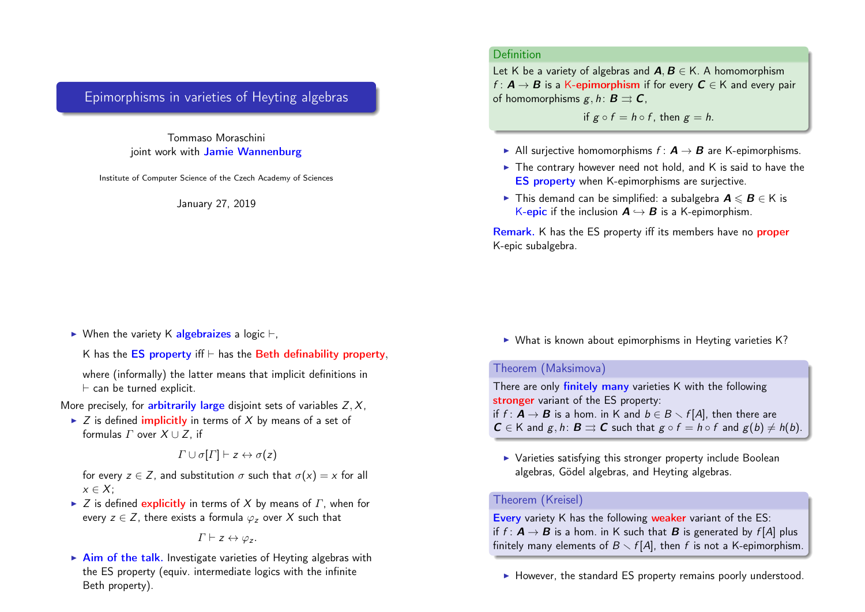# Epimorphisms in varieties of Heyting algebras

Tommaso Moraschini joint work with Jamie Wannenburg

Institute of Computer Science of the Czech Academy of Sciences

January 27, 2019

 $\triangleright$  When the variety K algebraizes a logic  $\vdash$ ,

K has the  $ES$  property if  $\vdash$  has the Beth definability property,

where (informally) the latter means that implicit definitions in  $\vdash$  can be turned explicit.

More precisely, for **arbitrarily large** disjoint sets of variables  $Z, X$ ,

 $\triangleright$  Z is defined *implicitly* in terms of X by means of a set of formulas  $\Gamma$  over  $X \cup Z$ , if

$$
\Gamma \cup \sigma[\Gamma] \vdash z \leftrightarrow \sigma(z)
$$

for every  $z \in Z$ , and substitution  $\sigma$  such that  $\sigma(x) = x$  for all  $x \in X$ :

 $\triangleright$  Z is defined explicitly in terms of X by means of  $\Gamma$ , when for every  $z \in Z$ , there exists a formula  $\varphi$ , over X such that

$$
\Gamma \vdash z \leftrightarrow \varphi_z.
$$

 $\triangleright$  Aim of the talk. Investigate varieties of Heyting algebras with the ES property (equiv. intermediate logics with the infinite Beth property).

# Definition

Let K be a variety of algebras and  $A, B \in K$ . A homomorphism  $f: \mathbf{A} \to \mathbf{B}$  is a K-epimorphism if for every  $\mathbf{C} \in \mathsf{K}$  and every pair of homomorphisms  $g, h: B \rightrightarrows C$ ,

if  $g \circ f = h \circ f$ , then  $g = h$ .

- All surjective homomorphisms  $f: \mathbf{A} \rightarrow \mathbf{B}$  are K-epimorphisms.
- $\triangleright$  The contrary however need not hold, and K is said to have the ES property when K-epimorphisms are surjective.
- ► This demand can be simplified: a subalgebra  $A \leq B \in K$  is K-epic if the inclusion  $A \hookrightarrow B$  is a K-epimorphism.

Remark. K has the ES property iff its members have no proper K-epic subalgebra.

 $\triangleright$  What is known about epimorphisms in Heyting varieties K?

### Theorem (Maksimova)

There are only finitely many varieties K with the following stronger variant of the ES property: if  $f : \mathbf{A} \to \mathbf{B}$  is a hom. in K and  $b \in B \setminus f[A]$ , then there are  $C \in K$  and  $g, h: B \rightrightarrows C$  such that  $g \circ f = h \circ f$  and  $g(b) \neq h(b)$ .

 $\triangleright$  Varieties satisfying this stronger property include Boolean algebras, Gödel algebras, and Heyting algebras.

#### Theorem (Kreisel)

Every variety K has the following weaker variant of the ES: if  $f: \mathbf{A} \to \mathbf{B}$  is a hom. in K such that  $\mathbf{B}$  is generated by  $f[A]$  plus finitely many elements of  $B \setminus f[A]$ , then f is not a K-epimorphism.

 $\blacktriangleright$  However, the standard ES property remains poorly understood.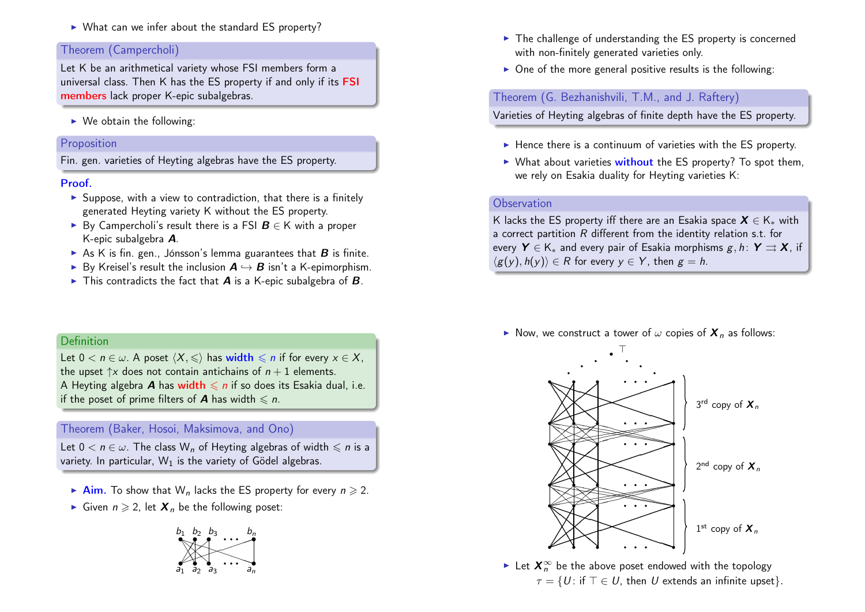$\triangleright$  What can we infer about the standard ES property?

## Theorem (Campercholi)

Let K be an arithmetical variety whose FSI members form a universal class. Then K has the ES property if and only if its FSI members lack proper K-epic subalgebras.

 $\triangleright$  We obtain the following:

### Proposition

Fin. gen. varieties of Heyting algebras have the ES property.

#### Proof.

- $\triangleright$  Suppose, with a view to contradiction, that there is a finitely generated Heyting variety K without the ES property.
- ► By Campercholi's result there is a FSI  $B \in K$  with a proper K-epic subalgebra A.
- As K is fin. gen., Jónsson's lemma guarantees that  $B$  is finite.
- ► By Kreisel's result the inclusion  $A \hookrightarrow B$  isn't a K-epimorphism.
- $\triangleright$  This contradicts the fact that **A** is a K-epic subalgebra of **B**.

# Definition

Let  $0 < n \in \omega$ . A poset  $\langle X, \leq \rangle$  has width  $\leq n$  if for every  $x \in X$ , the upset  $\uparrow x$  does not contain antichains of  $n + 1$  elements. A Heyting algebra **A** has width  $\leq n$  if so does its Esakia dual, i.e. if the poset of prime filters of **A** has width  $\le n$ .

### Theorem (Baker, Hosoi, Maksimova, and Ono)

Let  $0 < n \in \omega$ . The class W<sub>n</sub> of Heyting algebras of width  $\leq n$  is a variety. In particular,  $W_1$  is the variety of Gödel algebras.

- Aim. To show that  $W_n$  lacks the ES property for every  $n \ge 2$ .
- Given  $n \geq 2$ , let  $X_n$  be the following poset:



- $\triangleright$  The challenge of understanding the ES property is concerned with non-finitely generated varieties only.
- $\triangleright$  One of the more general positive results is the following:

Theorem (G. Bezhanishvili, T.M., and J. Raftery)

Varieties of Heyting algebras of finite depth have the ES property.

- $\blacktriangleright$  Hence there is a continuum of varieties with the ES property.
- $\triangleright$  What about varieties without the ES property? To spot them, we rely on Esakia duality for Heyting varieties K:

### **Observation**

K lacks the ES property iff there are an Esakia space  $X \in K_{*}$  with a correct partition R different from the identity relation s.t. for every  $Y \in K_{*}$  and every pair of Esakia morphisms  $g, h: Y \rightrightarrows X$ , if  $\langle g(y), h(y) \rangle \in R$  for every  $y \in Y$ , then  $g = h$ .

Now, we construct a tower of  $\omega$  copies of  $\mathbf{X}_n$  as follows:



► Let  $X_n^{\infty}$  be the above poset endowed with the topology  $\tau = \{U : \text{if } T \in U, \text{ then } U \text{ extends an infinite upset}\}.$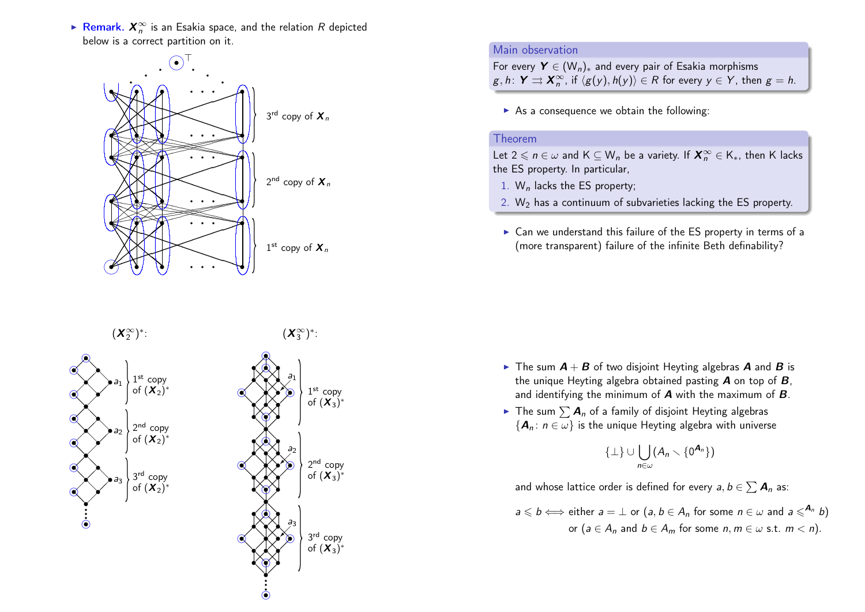► Remark.  $X_n^{\infty}$  is an Esakia space, and the relation  $R$  depicted below is a correct partition on it.



 $(X_2^{\infty})^*$ 



3<sup>rd</sup> copy of  $(\mathbf{X}_3)^*$ 

2<sup>nd</sup> copy of  $(\mathcal{X}_3)^*$ 

1 st copy of  $(\boldsymbol{X}_3)^*$ 



# Main observation

For every  $Y \in (W_n)_*$  and every pair of Esakia morphisms  $g, h \colon Y \rightrightarrows \mathbf{X}_n^{\infty}$ , if  $\langle g(y), h(y) \rangle \in R$  for every  $y \in Y$ , then  $g = h$ .

 $\triangleright$  As a consequence we obtain the following:

#### Theorem

Let  $2 \leqslant n \in \omega$  and  $\mathsf{K} \subseteq \mathsf{W}_n$  be a variety. If  $\boldsymbol{X}_n^{\infty} \in \mathsf{K}_*$ , then  $\mathsf{K}$  lacks the ES property. In particular,

- 1.  $W_n$  lacks the ES property;
- 2.  $W_2$  has a continuum of subvarieties lacking the ES property.
- $\triangleright$  Can we understand this failure of the ES property in terms of a (more transparent) failure of the infinite Beth definability?

- $\triangleright$  The sum  $A + B$  of two disjoint Heyting algebras A and B is the unique Heyting algebra obtained pasting  $\bm{A}$  on top of  $\bm{B}$ , and identifying the minimum of  $\boldsymbol{A}$  with the maximum of  $\boldsymbol{B}$ .
- $\blacktriangleright$  The sum  $\sum A_n$  of a family of disjoint Heyting algebras  ${A_n : n \in \omega}$  is the unique Heyting algebra with universe

 $\{\perp\} \cup \begin{pmatrix} \end{pmatrix}$ n∈ω  $(A_n\smallsetminus\{0^{\boldsymbol{A}_n}\})$ 

and whose lattice order is defined for every  $\textit{a},\textit{b} \in \sum \textit{A}_n$  as:

$$
a \leq b \iff \text{either } a = \bot \text{ or } (a, b \in A_n \text{ for some } n \in \omega \text{ and } a \leq A_n)
$$
  
or  $(a \in A_n \text{ and } b \in A_m \text{ for some } n, m \in \omega \text{ s.t. } m < n).$